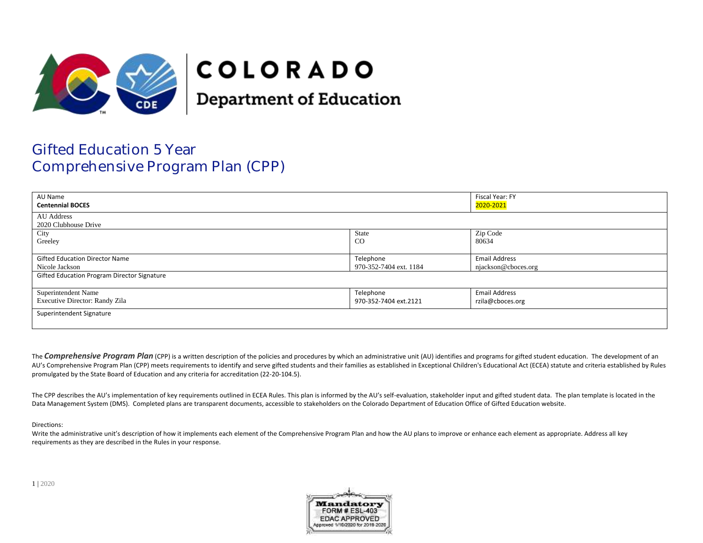

# **COLORADO**

**Department of Education** 

## Gifted Education 5 Year Comprehensive Program Plan (CPP)

| AU Name<br><b>Centennial BOCES</b>                 |                        | Fiscal Year: FY<br>2020-2021 |  |
|----------------------------------------------------|------------------------|------------------------------|--|
| <b>AU</b> Address<br>2020 Clubhouse Drive          |                        |                              |  |
| City                                               | <b>State</b>           | Zip Code                     |  |
| Greeley                                            | $_{\rm CO}$            | 80634                        |  |
|                                                    |                        |                              |  |
| <b>Gifted Education Director Name</b>              | Telephone              | <b>Email Address</b>         |  |
| Nicole Jackson                                     | 970-352-7404 ext. 1184 | njackson@cboces.org          |  |
| <b>Gifted Education Program Director Signature</b> |                        |                              |  |
| Superintendent Name                                | Telephone              | <b>Email Address</b>         |  |
|                                                    |                        |                              |  |
| Executive Director: Randy Zila                     | 970-352-7404 ext.2121  | rzila@cboces.org             |  |
| Superintendent Signature                           |                        |                              |  |
|                                                    |                        |                              |  |

The **Comprehensive Program Plan** (CPP) is a written description of the policies and procedures by which an administrative unit (AU) identifies and programs for gifted student education. The development of an AU's Comprehensive Program Plan (CPP) meets requirements to identify and serve gifted students and their families as established in Exceptional Children's Educational Act (ECEA) statute and criteria established by Rules promulgated by the State Board of Education and any criteria for accreditation (22-20-104.5).

The CPP describes the AU's implementation of key requirements outlined in ECEA Rules. This plan is informed by the AU's self-evaluation, stakeholder input and gifted student data. The plan template is located in the Data Management System (DMS). Completed plans are transparent documents, accessible to stakeholders on the Colorado Department of Education Office of Gifted Education website.

Directions:

Write the administrative unit's description of how it implements each element of the Comprehensive Program Plan and how the AU plans to improve or enhance each element as appropriate. Address all key requirements as they are described in the Rules in your response.

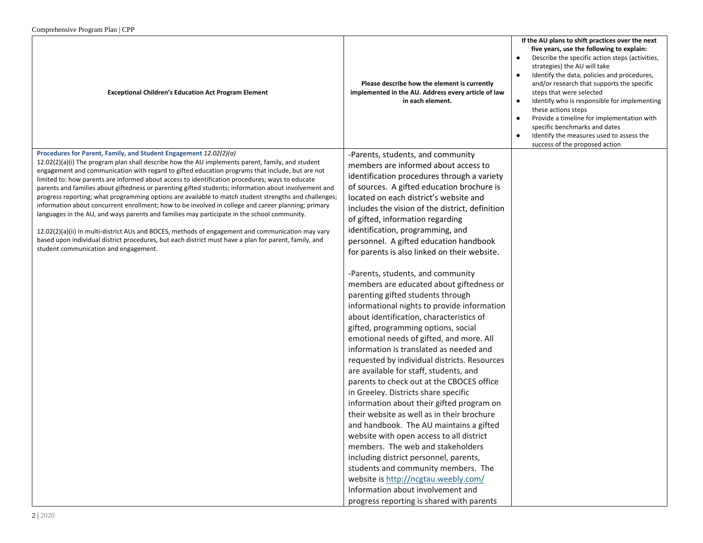| $\epsilon$ omprenensive i rogram i ran $\epsilon$ i i<br><b>Exceptional Children's Education Act Program Element</b>                                                                                                                                                                                                                                                                                                                                                                                                                                                                                                                                                                                                                                                                                                                                                                                                                                                                                                                                       | Please describe how the element is currently<br>implemented in the AU. Address every article of law<br>in each element.                                                                                                                                                                                                                                                                                                                                                                                                                                                                                                                                                                                                                                                                                                                                                                                                                                                                                                                                                                                                                                                                                                                                                                                                                                                                               | If the AU plans to shift practices over the next<br>five years, use the following to explain:<br>Describe the specific action steps (activities,<br>strategies) the AU will take<br>Identify the data, policies and procedures,<br>and/or research that supports the specific<br>steps that were selected<br>Identify who is responsible for implementing<br>$\bullet$<br>these actions steps<br>Provide a timeline for implementation with<br>specific benchmarks and dates<br>Identify the measures used to assess the<br>success of the proposed action |
|------------------------------------------------------------------------------------------------------------------------------------------------------------------------------------------------------------------------------------------------------------------------------------------------------------------------------------------------------------------------------------------------------------------------------------------------------------------------------------------------------------------------------------------------------------------------------------------------------------------------------------------------------------------------------------------------------------------------------------------------------------------------------------------------------------------------------------------------------------------------------------------------------------------------------------------------------------------------------------------------------------------------------------------------------------|-------------------------------------------------------------------------------------------------------------------------------------------------------------------------------------------------------------------------------------------------------------------------------------------------------------------------------------------------------------------------------------------------------------------------------------------------------------------------------------------------------------------------------------------------------------------------------------------------------------------------------------------------------------------------------------------------------------------------------------------------------------------------------------------------------------------------------------------------------------------------------------------------------------------------------------------------------------------------------------------------------------------------------------------------------------------------------------------------------------------------------------------------------------------------------------------------------------------------------------------------------------------------------------------------------------------------------------------------------------------------------------------------------|------------------------------------------------------------------------------------------------------------------------------------------------------------------------------------------------------------------------------------------------------------------------------------------------------------------------------------------------------------------------------------------------------------------------------------------------------------------------------------------------------------------------------------------------------------|
| Procedures for Parent, Family, and Student Engagement 12.02(2)(a)<br>12.02(2)(a)(i) The program plan shall describe how the AU implements parent, family, and student<br>engagement and communication with regard to gifted education programs that include, but are not<br>limited to: how parents are informed about access to identification procedures; ways to educate<br>parents and families about giftedness or parenting gifted students; information about involvement and<br>progress reporting; what programming options are available to match student strengths and challenges;<br>information about concurrent enrollment; how to be involved in college and career planning; primary<br>languages in the AU, and ways parents and families may participate in the school community.<br>12.02(2)(a)(ii) In multi-district AUs and BOCES, methods of engagement and communication may vary<br>based upon individual district procedures, but each district must have a plan for parent, family, and<br>student communication and engagement. | -Parents, students, and community<br>members are informed about access to<br>identification procedures through a variety<br>of sources. A gifted education brochure is<br>located on each district's website and<br>includes the vision of the district, definition<br>of gifted, information regarding<br>identification, programming, and<br>personnel. A gifted education handbook<br>for parents is also linked on their website.<br>-Parents, students, and community<br>members are educated about giftedness or<br>parenting gifted students through<br>informational nights to provide information<br>about identification, characteristics of<br>gifted, programming options, social<br>emotional needs of gifted, and more. All<br>information is translated as needed and<br>requested by individual districts. Resources<br>are available for staff, students, and<br>parents to check out at the CBOCES office<br>in Greeley. Districts share specific<br>information about their gifted program on<br>their website as well as in their brochure<br>and handbook. The AU maintains a gifted<br>website with open access to all district<br>members. The web and stakeholders<br>including district personnel, parents,<br>students and community members. The<br>website is http://ncgtau.weebly.com/<br>Information about involvement and<br>progress reporting is shared with parents |                                                                                                                                                                                                                                                                                                                                                                                                                                                                                                                                                            |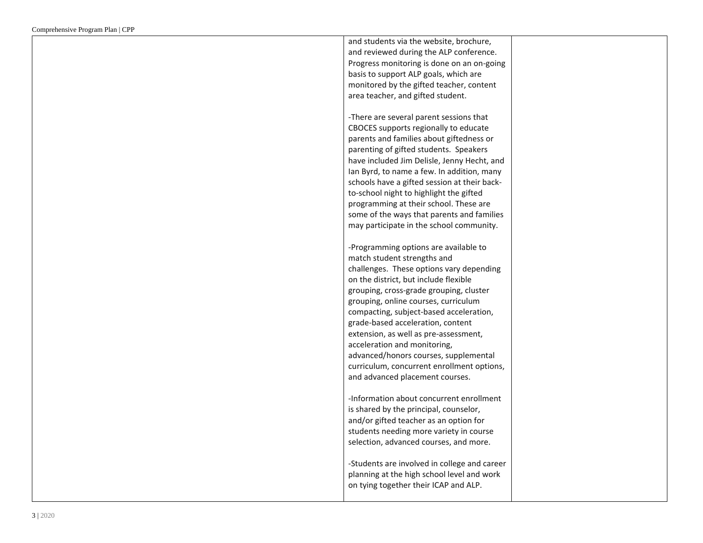| and students via the website, brochure,<br>and reviewed during the ALP conference.<br>Progress monitoring is done on an on-going<br>basis to support ALP goals, which are<br>monitored by the gifted teacher, content                                                                                                         |  |
|-------------------------------------------------------------------------------------------------------------------------------------------------------------------------------------------------------------------------------------------------------------------------------------------------------------------------------|--|
| area teacher, and gifted student.<br>-There are several parent sessions that<br>CBOCES supports regionally to educate<br>parents and families about giftedness or<br>parenting of gifted students. Speakers<br>have included Jim Delisle, Jenny Hecht, and<br>Ian Byrd, to name a few. In addition, many                      |  |
| schools have a gifted session at their back-<br>to-school night to highlight the gifted<br>programming at their school. These are<br>some of the ways that parents and families<br>may participate in the school community.<br>-Programming options are available to<br>match student strengths and                           |  |
| challenges. These options vary depending<br>on the district, but include flexible<br>grouping, cross-grade grouping, cluster<br>grouping, online courses, curriculum<br>compacting, subject-based acceleration,<br>grade-based acceleration, content<br>extension, as well as pre-assessment,<br>acceleration and monitoring, |  |
| advanced/honors courses, supplemental<br>curriculum, concurrent enrollment options,<br>and advanced placement courses.<br>-Information about concurrent enrollment<br>is shared by the principal, counselor,<br>and/or gifted teacher as an option for                                                                        |  |
| students needing more variety in course<br>selection, advanced courses, and more.<br>-Students are involved in college and career<br>planning at the high school level and work<br>on tying together their ICAP and ALP.                                                                                                      |  |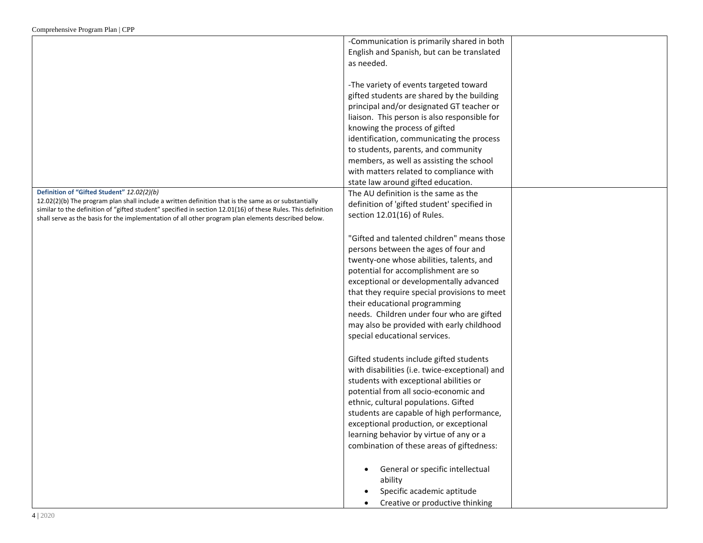|                                                                                                                                                                                                                                                                                                                                                                             | -Communication is primarily shared in both<br>English and Spanish, but can be translated<br>as needed.<br>-The variety of events targeted toward<br>gifted students are shared by the building<br>principal and/or designated GT teacher or<br>liaison. This person is also responsible for<br>knowing the process of gifted<br>identification, communicating the process                                                    |
|-----------------------------------------------------------------------------------------------------------------------------------------------------------------------------------------------------------------------------------------------------------------------------------------------------------------------------------------------------------------------------|------------------------------------------------------------------------------------------------------------------------------------------------------------------------------------------------------------------------------------------------------------------------------------------------------------------------------------------------------------------------------------------------------------------------------|
|                                                                                                                                                                                                                                                                                                                                                                             | to students, parents, and community<br>members, as well as assisting the school                                                                                                                                                                                                                                                                                                                                              |
|                                                                                                                                                                                                                                                                                                                                                                             | with matters related to compliance with                                                                                                                                                                                                                                                                                                                                                                                      |
|                                                                                                                                                                                                                                                                                                                                                                             | state law around gifted education.                                                                                                                                                                                                                                                                                                                                                                                           |
| Definition of "Gifted Student" 12.02(2)(b)<br>$12.02(2)(b)$ The program plan shall include a written definition that is the same as or substantially<br>similar to the definition of "gifted student" specified in section 12.01(16) of these Rules. This definition<br>shall serve as the basis for the implementation of all other program plan elements described below. | The AU definition is the same as the<br>definition of 'gifted student' specified in<br>section 12.01(16) of Rules.                                                                                                                                                                                                                                                                                                           |
|                                                                                                                                                                                                                                                                                                                                                                             | "Gifted and talented children" means those<br>persons between the ages of four and<br>twenty-one whose abilities, talents, and<br>potential for accomplishment are so<br>exceptional or developmentally advanced<br>that they require special provisions to meet<br>their educational programming<br>needs. Children under four who are gifted<br>may also be provided with early childhood<br>special educational services. |
|                                                                                                                                                                                                                                                                                                                                                                             | Gifted students include gifted students<br>with disabilities (i.e. twice-exceptional) and<br>students with exceptional abilities or<br>potential from all socio-economic and<br>ethnic, cultural populations. Gifted<br>students are capable of high performance,<br>exceptional production, or exceptional<br>learning behavior by virtue of any or a<br>combination of these areas of giftedness:                          |
|                                                                                                                                                                                                                                                                                                                                                                             | General or specific intellectual<br>$\bullet$<br>ability<br>Specific academic aptitude<br>Creative or productive thinking                                                                                                                                                                                                                                                                                                    |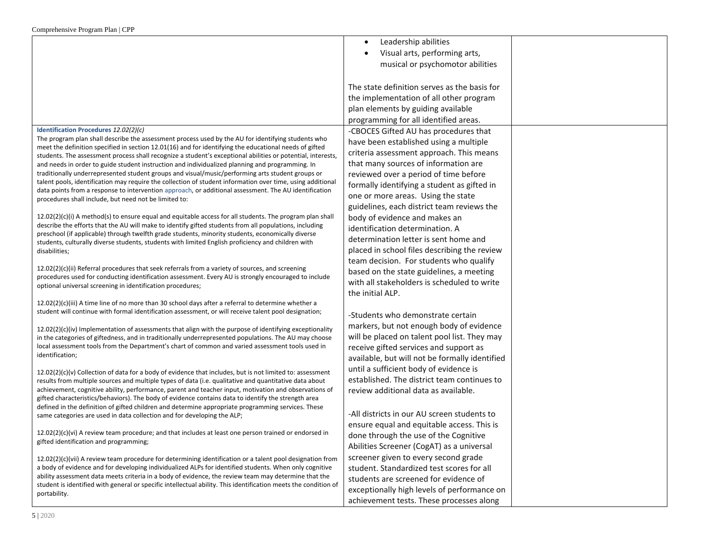|                                                                                                                                                                                                                                                                                                                                                                                                                                                                                                                                                                                                                                                                                                                                                                                                    | Leadership abilities<br>$\bullet$<br>Visual arts, performing arts,<br>musical or psychomotor abilities                                                                                                                                                                                            |  |
|----------------------------------------------------------------------------------------------------------------------------------------------------------------------------------------------------------------------------------------------------------------------------------------------------------------------------------------------------------------------------------------------------------------------------------------------------------------------------------------------------------------------------------------------------------------------------------------------------------------------------------------------------------------------------------------------------------------------------------------------------------------------------------------------------|---------------------------------------------------------------------------------------------------------------------------------------------------------------------------------------------------------------------------------------------------------------------------------------------------|--|
|                                                                                                                                                                                                                                                                                                                                                                                                                                                                                                                                                                                                                                                                                                                                                                                                    | The state definition serves as the basis for<br>the implementation of all other program<br>plan elements by guiding available<br>programming for all identified areas.                                                                                                                            |  |
| Identification Procedures 12.02(2)(c)<br>The program plan shall describe the assessment process used by the AU for identifying students who<br>meet the definition specified in section 12.01(16) and for identifying the educational needs of gifted<br>students. The assessment process shall recognize a student's exceptional abilities or potential, interests,<br>and needs in order to guide student instruction and individualized planning and programming. In<br>traditionally underrepresented student groups and visual/music/performing arts student groups or<br>talent pools, identification may require the collection of student information over time, using additional<br>data points from a response to intervention approach, or additional assessment. The AU identification | -CBOCES Gifted AU has procedures that<br>have been established using a multiple<br>criteria assessment approach. This means<br>that many sources of information are<br>reviewed over a period of time before<br>formally identifying a student as gifted in<br>one or more areas. Using the state |  |
| procedures shall include, but need not be limited to:<br>$12.02(2)(c)(i)$ A method(s) to ensure equal and equitable access for all students. The program plan shall<br>describe the efforts that the AU will make to identify gifted students from all populations, including<br>preschool (if applicable) through twelfth grade students, minority students, economically diverse<br>students, culturally diverse students, students with limited English proficiency and children with<br>disabilities;                                                                                                                                                                                                                                                                                          | guidelines, each district team reviews the<br>body of evidence and makes an<br>identification determination. A<br>determination letter is sent home and<br>placed in school files describing the review<br>team decision. For students who qualify                                                |  |
| 12.02(2)(c)(ii) Referral procedures that seek referrals from a variety of sources, and screening<br>procedures used for conducting identification assessment. Every AU is strongly encouraged to include<br>optional universal screening in identification procedures;                                                                                                                                                                                                                                                                                                                                                                                                                                                                                                                             | based on the state guidelines, a meeting<br>with all stakeholders is scheduled to write<br>the initial ALP.                                                                                                                                                                                       |  |
| $12.02(2)(c)(iii)$ A time line of no more than 30 school days after a referral to determine whether a<br>student will continue with formal identification assessment, or will receive talent pool designation;                                                                                                                                                                                                                                                                                                                                                                                                                                                                                                                                                                                     | -Students who demonstrate certain                                                                                                                                                                                                                                                                 |  |
| $12.02(2)(c)(iv)$ Implementation of assessments that align with the purpose of identifying exceptionality<br>in the categories of giftedness, and in traditionally underrepresented populations. The AU may choose<br>local assessment tools from the Department's chart of common and varied assessment tools used in<br>identification;                                                                                                                                                                                                                                                                                                                                                                                                                                                          | markers, but not enough body of evidence<br>will be placed on talent pool list. They may<br>receive gifted services and support as<br>available, but will not be formally identified                                                                                                              |  |
| $12.02(2)(c)(v)$ Collection of data for a body of evidence that includes, but is not limited to: assessment<br>results from multiple sources and multiple types of data (i.e. qualitative and quantitative data about<br>achievement, cognitive ability, performance, parent and teacher input, motivation and observations of<br>gifted characteristics/behaviors). The body of evidence contains data to identify the strength area<br>defined in the definition of gifted children and determine appropriate programming services. These<br>same categories are used in data collection and for developing the ALP;                                                                                                                                                                             | until a sufficient body of evidence is<br>established. The district team continues to<br>review additional data as available.<br>-All districts in our AU screen students to                                                                                                                      |  |
| 12.02(2)(c)(vi) A review team procedure; and that includes at least one person trained or endorsed in<br>gifted identification and programming;                                                                                                                                                                                                                                                                                                                                                                                                                                                                                                                                                                                                                                                    | ensure equal and equitable access. This is<br>done through the use of the Cognitive<br>Abilities Screener (CogAT) as a universal                                                                                                                                                                  |  |
| 12.02(2)(c)(vii) A review team procedure for determining identification or a talent pool designation from<br>a body of evidence and for developing individualized ALPs for identified students. When only cognitive<br>ability assessment data meets criteria in a body of evidence, the review team may determine that the<br>student is identified with general or specific intellectual ability. This identification meets the condition of<br>portability.                                                                                                                                                                                                                                                                                                                                     | screener given to every second grade<br>student. Standardized test scores for all<br>students are screened for evidence of<br>exceptionally high levels of performance on<br>achievement tests. These processes along                                                                             |  |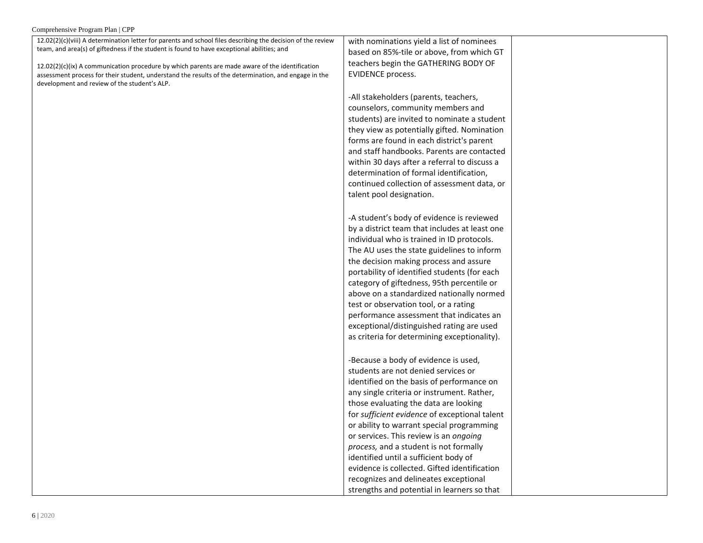| Comprehensive Program Plan   CPP                                                                              |                                               |
|---------------------------------------------------------------------------------------------------------------|-----------------------------------------------|
| $12.02(2)(c)(viii)$ A determination letter for parents and school files describing the decision of the review | with nominations yield a list of nominees     |
| team, and area(s) of giftedness if the student is found to have exceptional abilities; and                    | based on 85%-tile or above, from which GT     |
| $12.02(2)(c)(ix)$ A communication procedure by which parents are made aware of the identification             | teachers begin the GATHERING BODY OF          |
| assessment process for their student, understand the results of the determination, and engage in the          | EVIDENCE process.                             |
| development and review of the student's ALP.                                                                  |                                               |
|                                                                                                               | -All stakeholders (parents, teachers,         |
|                                                                                                               | counselors, community members and             |
|                                                                                                               | students) are invited to nominate a student   |
|                                                                                                               | they view as potentially gifted. Nomination   |
|                                                                                                               | forms are found in each district's parent     |
|                                                                                                               | and staff handbooks. Parents are contacted    |
|                                                                                                               | within 30 days after a referral to discuss a  |
|                                                                                                               | determination of formal identification,       |
|                                                                                                               | continued collection of assessment data, or   |
|                                                                                                               | talent pool designation.                      |
|                                                                                                               |                                               |
|                                                                                                               | -A student's body of evidence is reviewed     |
|                                                                                                               | by a district team that includes at least one |
|                                                                                                               | individual who is trained in ID protocols.    |
|                                                                                                               | The AU uses the state guidelines to inform    |
|                                                                                                               | the decision making process and assure        |
|                                                                                                               | portability of identified students (for each  |
|                                                                                                               | category of giftedness, 95th percentile or    |
|                                                                                                               | above on a standardized nationally normed     |
|                                                                                                               | test or observation tool, or a rating         |
|                                                                                                               | performance assessment that indicates an      |
|                                                                                                               | exceptional/distinguished rating are used     |
|                                                                                                               | as criteria for determining exceptionality).  |
|                                                                                                               |                                               |
|                                                                                                               | -Because a body of evidence is used,          |
|                                                                                                               | students are not denied services or           |
|                                                                                                               | identified on the basis of performance on     |
|                                                                                                               | any single criteria or instrument. Rather,    |
|                                                                                                               | those evaluating the data are looking         |
|                                                                                                               | for sufficient evidence of exceptional talent |
|                                                                                                               | or ability to warrant special programming     |
|                                                                                                               | or services. This review is an ongoing        |
|                                                                                                               | process, and a student is not formally        |
|                                                                                                               | identified until a sufficient body of         |
|                                                                                                               | evidence is collected. Gifted identification  |
|                                                                                                               | recognizes and delineates exceptional         |
|                                                                                                               | strengths and potential in learners so that   |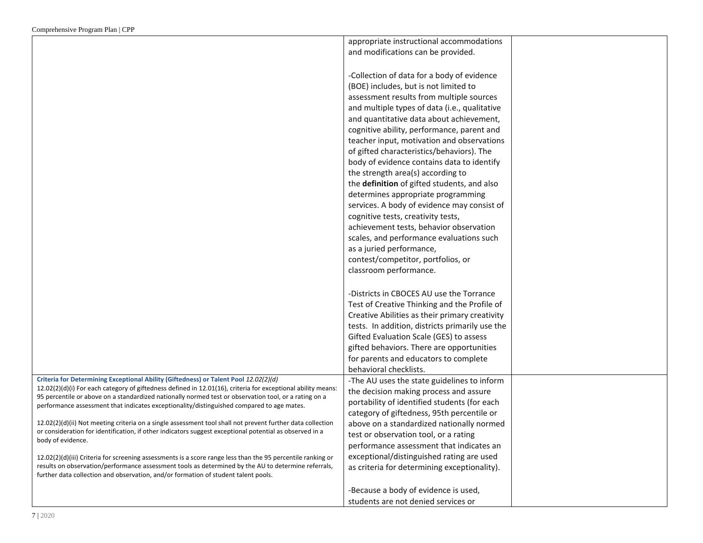|                                                                                                                                                                                                                       | appropriate instructional accommodations        |  |
|-----------------------------------------------------------------------------------------------------------------------------------------------------------------------------------------------------------------------|-------------------------------------------------|--|
|                                                                                                                                                                                                                       | and modifications can be provided.              |  |
|                                                                                                                                                                                                                       |                                                 |  |
|                                                                                                                                                                                                                       | -Collection of data for a body of evidence      |  |
|                                                                                                                                                                                                                       | (BOE) includes, but is not limited to           |  |
|                                                                                                                                                                                                                       |                                                 |  |
|                                                                                                                                                                                                                       | assessment results from multiple sources        |  |
|                                                                                                                                                                                                                       | and multiple types of data (i.e., qualitative   |  |
|                                                                                                                                                                                                                       | and quantitative data about achievement,        |  |
|                                                                                                                                                                                                                       | cognitive ability, performance, parent and      |  |
|                                                                                                                                                                                                                       | teacher input, motivation and observations      |  |
|                                                                                                                                                                                                                       | of gifted characteristics/behaviors). The       |  |
|                                                                                                                                                                                                                       | body of evidence contains data to identify      |  |
|                                                                                                                                                                                                                       | the strength area(s) according to               |  |
|                                                                                                                                                                                                                       | the definition of gifted students, and also     |  |
|                                                                                                                                                                                                                       | determines appropriate programming              |  |
|                                                                                                                                                                                                                       | services. A body of evidence may consist of     |  |
|                                                                                                                                                                                                                       | cognitive tests, creativity tests,              |  |
|                                                                                                                                                                                                                       | achievement tests, behavior observation         |  |
|                                                                                                                                                                                                                       | scales, and performance evaluations such        |  |
|                                                                                                                                                                                                                       | as a juried performance,                        |  |
|                                                                                                                                                                                                                       | contest/competitor, portfolios, or              |  |
|                                                                                                                                                                                                                       | classroom performance.                          |  |
|                                                                                                                                                                                                                       |                                                 |  |
|                                                                                                                                                                                                                       | -Districts in CBOCES AU use the Torrance        |  |
|                                                                                                                                                                                                                       | Test of Creative Thinking and the Profile of    |  |
|                                                                                                                                                                                                                       | Creative Abilities as their primary creativity  |  |
|                                                                                                                                                                                                                       | tests. In addition, districts primarily use the |  |
|                                                                                                                                                                                                                       | Gifted Evaluation Scale (GES) to assess         |  |
|                                                                                                                                                                                                                       | gifted behaviors. There are opportunities       |  |
|                                                                                                                                                                                                                       |                                                 |  |
|                                                                                                                                                                                                                       | for parents and educators to complete           |  |
| Criteria for Determining Exceptional Ability (Giftedness) or Talent Pool 12.02(2)(d)                                                                                                                                  | behavioral checklists.                          |  |
| 12.02(2)(d)(i) For each category of giftedness defined in 12.01(16), criteria for exceptional ability means:                                                                                                          | -The AU uses the state guidelines to inform     |  |
| 95 percentile or above on a standardized nationally normed test or observation tool, or a rating on a                                                                                                                 | the decision making process and assure          |  |
| performance assessment that indicates exceptionality/distinguished compared to age mates.                                                                                                                             | portability of identified students (for each    |  |
|                                                                                                                                                                                                                       | category of giftedness, 95th percentile or      |  |
| 12.02(2)(d)(ii) Not meeting criteria on a single assessment tool shall not prevent further data collection<br>or consideration for identification, if other indicators suggest exceptional potential as observed in a | above on a standardized nationally normed       |  |
| body of evidence.                                                                                                                                                                                                     | test or observation tool, or a rating           |  |
|                                                                                                                                                                                                                       | performance assessment that indicates an        |  |
| 12.02(2)(d)(iii) Criteria for screening assessments is a score range less than the 95 percentile ranking or                                                                                                           | exceptional/distinguished rating are used       |  |
| results on observation/performance assessment tools as determined by the AU to determine referrals,<br>further data collection and observation, and/or formation of student talent pools.                             | as criteria for determining exceptionality).    |  |
|                                                                                                                                                                                                                       |                                                 |  |
|                                                                                                                                                                                                                       | -Because a body of evidence is used,            |  |
|                                                                                                                                                                                                                       | students are not denied services or             |  |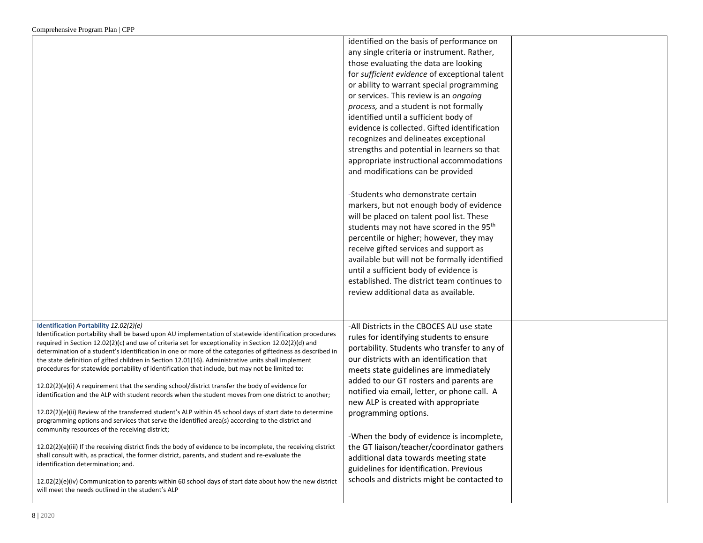|                                                                                                                                                                                                                                                                                                                                                                                                                                                                                                                                                                                                                                                                                                                                                                                                                                                                                                                                                                                                                                                                | identified on the basis of performance on<br>any single criteria or instrument. Rather,<br>those evaluating the data are looking<br>for sufficient evidence of exceptional talent<br>or ability to warrant special programming<br>or services. This review is an ongoing<br>process, and a student is not formally<br>identified until a sufficient body of<br>evidence is collected. Gifted identification<br>recognizes and delineates exceptional<br>strengths and potential in learners so that<br>appropriate instructional accommodations<br>and modifications can be provided<br>-Students who demonstrate certain<br>markers, but not enough body of evidence<br>will be placed on talent pool list. These |  |
|----------------------------------------------------------------------------------------------------------------------------------------------------------------------------------------------------------------------------------------------------------------------------------------------------------------------------------------------------------------------------------------------------------------------------------------------------------------------------------------------------------------------------------------------------------------------------------------------------------------------------------------------------------------------------------------------------------------------------------------------------------------------------------------------------------------------------------------------------------------------------------------------------------------------------------------------------------------------------------------------------------------------------------------------------------------|--------------------------------------------------------------------------------------------------------------------------------------------------------------------------------------------------------------------------------------------------------------------------------------------------------------------------------------------------------------------------------------------------------------------------------------------------------------------------------------------------------------------------------------------------------------------------------------------------------------------------------------------------------------------------------------------------------------------|--|
|                                                                                                                                                                                                                                                                                                                                                                                                                                                                                                                                                                                                                                                                                                                                                                                                                                                                                                                                                                                                                                                                | students may not have scored in the 95 <sup>th</sup><br>percentile or higher; however, they may<br>receive gifted services and support as<br>available but will not be formally identified<br>until a sufficient body of evidence is<br>established. The district team continues to<br>review additional data as available.                                                                                                                                                                                                                                                                                                                                                                                        |  |
| Identification Portability 12.02(2)(e)<br>Identification portability shall be based upon AU implementation of statewide identification procedures<br>required in Section 12.02(2)(c) and use of criteria set for exceptionality in Section 12.02(2)(d) and<br>determination of a student's identification in one or more of the categories of giftedness as described in<br>the state definition of gifted children in Section 12.01(16). Administrative units shall implement<br>procedures for statewide portability of identification that include, but may not be limited to:<br>12.02(2)(e)(i) A requirement that the sending school/district transfer the body of evidence for<br>identification and the ALP with student records when the student moves from one district to another:<br>12.02(2)(e)(ii) Review of the transferred student's ALP within 45 school days of start date to determine<br>programming options and services that serve the identified area(s) according to the district and<br>community resources of the receiving district; | -All Districts in the CBOCES AU use state<br>rules for identifying students to ensure<br>portability. Students who transfer to any of<br>our districts with an identification that<br>meets state guidelines are immediately<br>added to our GT rosters and parents are<br>notified via email, letter, or phone call. A<br>new ALP is created with appropriate<br>programming options.<br>-When the body of evidence is incomplete,                                                                                                                                                                                                                                                                                |  |
| $12.02(2)(e)(iii)$ If the receiving district finds the body of evidence to be incomplete, the receiving district<br>shall consult with, as practical, the former district, parents, and student and re-evaluate the<br>identification determination; and.<br>$12.02(2)(e)(iv)$ Communication to parents within 60 school days of start date about how the new district<br>will meet the needs outlined in the student's ALP                                                                                                                                                                                                                                                                                                                                                                                                                                                                                                                                                                                                                                    | the GT liaison/teacher/coordinator gathers<br>additional data towards meeting state<br>guidelines for identification. Previous<br>schools and districts might be contacted to                                                                                                                                                                                                                                                                                                                                                                                                                                                                                                                                      |  |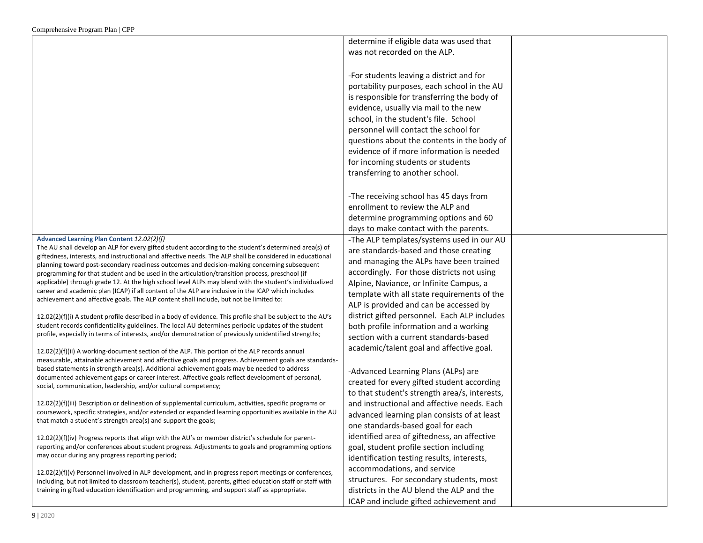|                                                                                                                                                                                                                   | determine if eligible data was used that                                                                                                                                                                                                                                                                                                                                                                                              |  |
|-------------------------------------------------------------------------------------------------------------------------------------------------------------------------------------------------------------------|---------------------------------------------------------------------------------------------------------------------------------------------------------------------------------------------------------------------------------------------------------------------------------------------------------------------------------------------------------------------------------------------------------------------------------------|--|
|                                                                                                                                                                                                                   | was not recorded on the ALP.                                                                                                                                                                                                                                                                                                                                                                                                          |  |
|                                                                                                                                                                                                                   | -For students leaving a district and for<br>portability purposes, each school in the AU<br>is responsible for transferring the body of<br>evidence, usually via mail to the new<br>school, in the student's file. School<br>personnel will contact the school for<br>questions about the contents in the body of<br>evidence of if more information is needed<br>for incoming students or students<br>transferring to another school. |  |
|                                                                                                                                                                                                                   | -The receiving school has 45 days from                                                                                                                                                                                                                                                                                                                                                                                                |  |
|                                                                                                                                                                                                                   | enrollment to review the ALP and                                                                                                                                                                                                                                                                                                                                                                                                      |  |
|                                                                                                                                                                                                                   | determine programming options and 60                                                                                                                                                                                                                                                                                                                                                                                                  |  |
|                                                                                                                                                                                                                   | days to make contact with the parents.                                                                                                                                                                                                                                                                                                                                                                                                |  |
| Advanced Learning Plan Content 12.02(2)(f)                                                                                                                                                                        | -The ALP templates/systems used in our AU                                                                                                                                                                                                                                                                                                                                                                                             |  |
| The AU shall develop an ALP for every gifted student according to the student's determined area(s) of<br>giftedness, interests, and instructional and affective needs. The ALP shall be considered in educational | are standards-based and those creating                                                                                                                                                                                                                                                                                                                                                                                                |  |
| planning toward post-secondary readiness outcomes and decision-making concerning subsequent                                                                                                                       | and managing the ALPs have been trained                                                                                                                                                                                                                                                                                                                                                                                               |  |
| programming for that student and be used in the articulation/transition process, preschool (if                                                                                                                    | accordingly. For those districts not using                                                                                                                                                                                                                                                                                                                                                                                            |  |
| applicable) through grade 12. At the high school level ALPs may blend with the student's individualized                                                                                                           | Alpine, Naviance, or Infinite Campus, a                                                                                                                                                                                                                                                                                                                                                                                               |  |
| career and academic plan (ICAP) if all content of the ALP are inclusive in the ICAP which includes                                                                                                                | template with all state requirements of the                                                                                                                                                                                                                                                                                                                                                                                           |  |
| achievement and affective goals. The ALP content shall include, but not be limited to:                                                                                                                            | ALP is provided and can be accessed by                                                                                                                                                                                                                                                                                                                                                                                                |  |
| 12.02(2)(f)(i) A student profile described in a body of evidence. This profile shall be subject to the AU's                                                                                                       | district gifted personnel. Each ALP includes                                                                                                                                                                                                                                                                                                                                                                                          |  |
| student records confidentiality guidelines. The local AU determines periodic updates of the student                                                                                                               | both profile information and a working                                                                                                                                                                                                                                                                                                                                                                                                |  |
| profile, especially in terms of interests, and/or demonstration of previously unidentified strengths;                                                                                                             | section with a current standards-based                                                                                                                                                                                                                                                                                                                                                                                                |  |
| 12.02(2)(f)(ii) A working-document section of the ALP. This portion of the ALP records annual                                                                                                                     | academic/talent goal and affective goal.                                                                                                                                                                                                                                                                                                                                                                                              |  |
| measurable, attainable achievement and affective goals and progress. Achievement goals are standards-                                                                                                             |                                                                                                                                                                                                                                                                                                                                                                                                                                       |  |
| based statements in strength area(s). Additional achievement goals may be needed to address                                                                                                                       | -Advanced Learning Plans (ALPs) are                                                                                                                                                                                                                                                                                                                                                                                                   |  |
| documented achievement gaps or career interest. Affective goals reflect development of personal,                                                                                                                  | created for every gifted student according                                                                                                                                                                                                                                                                                                                                                                                            |  |
| social, communication, leadership, and/or cultural competency;                                                                                                                                                    | to that student's strength area/s, interests,                                                                                                                                                                                                                                                                                                                                                                                         |  |
| 12.02(2)(f)(iii) Description or delineation of supplemental curriculum, activities, specific programs or                                                                                                          | and instructional and affective needs. Each                                                                                                                                                                                                                                                                                                                                                                                           |  |
| coursework, specific strategies, and/or extended or expanded learning opportunities available in the AU                                                                                                           | advanced learning plan consists of at least                                                                                                                                                                                                                                                                                                                                                                                           |  |
| that match a student's strength area(s) and support the goals;                                                                                                                                                    | one standards-based goal for each                                                                                                                                                                                                                                                                                                                                                                                                     |  |
| $12.02(2)(f)(iv)$ Progress reports that align with the AU's or member district's schedule for parent-                                                                                                             | identified area of giftedness, an affective                                                                                                                                                                                                                                                                                                                                                                                           |  |
| reporting and/or conferences about student progress. Adjustments to goals and programming options                                                                                                                 | goal, student profile section including                                                                                                                                                                                                                                                                                                                                                                                               |  |
| may occur during any progress reporting period;                                                                                                                                                                   | identification testing results, interests,                                                                                                                                                                                                                                                                                                                                                                                            |  |
| 12.02(2)(f)(v) Personnel involved in ALP development, and in progress report meetings or conferences,                                                                                                             | accommodations, and service                                                                                                                                                                                                                                                                                                                                                                                                           |  |
| including, but not limited to classroom teacher(s), student, parents, gifted education staff or staff with                                                                                                        | structures. For secondary students, most                                                                                                                                                                                                                                                                                                                                                                                              |  |
| training in gifted education identification and programming, and support staff as appropriate.                                                                                                                    | districts in the AU blend the ALP and the                                                                                                                                                                                                                                                                                                                                                                                             |  |
|                                                                                                                                                                                                                   | ICAP and include gifted achievement and                                                                                                                                                                                                                                                                                                                                                                                               |  |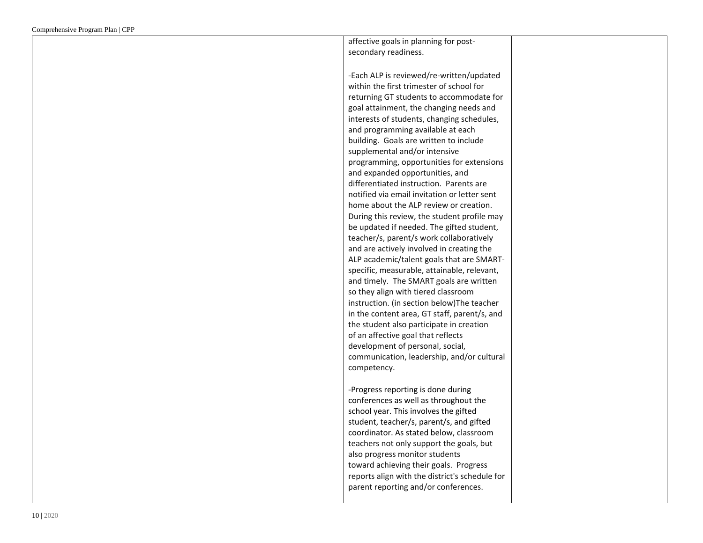| affective goals in planning for post-          |  |
|------------------------------------------------|--|
| secondary readiness.                           |  |
|                                                |  |
| -Each ALP is reviewed/re-written/updated       |  |
| within the first trimester of school for       |  |
| returning GT students to accommodate for       |  |
| goal attainment, the changing needs and        |  |
| interests of students, changing schedules,     |  |
| and programming available at each              |  |
| building. Goals are written to include         |  |
|                                                |  |
| supplemental and/or intensive                  |  |
| programming, opportunities for extensions      |  |
| and expanded opportunities, and                |  |
| differentiated instruction. Parents are        |  |
| notified via email invitation or letter sent   |  |
| home about the ALP review or creation.         |  |
| During this review, the student profile may    |  |
| be updated if needed. The gifted student,      |  |
| teacher/s, parent/s work collaboratively       |  |
| and are actively involved in creating the      |  |
| ALP academic/talent goals that are SMART-      |  |
| specific, measurable, attainable, relevant,    |  |
| and timely. The SMART goals are written        |  |
| so they align with tiered classroom            |  |
| instruction. (in section below) The teacher    |  |
| in the content area, GT staff, parent/s, and   |  |
| the student also participate in creation       |  |
| of an affective goal that reflects             |  |
| development of personal, social,               |  |
| communication, leadership, and/or cultural     |  |
| competency.                                    |  |
|                                                |  |
| -Progress reporting is done during             |  |
| conferences as well as throughout the          |  |
|                                                |  |
| school year. This involves the gifted          |  |
| student, teacher/s, parent/s, and gifted       |  |
| coordinator. As stated below, classroom        |  |
| teachers not only support the goals, but       |  |
| also progress monitor students                 |  |
| toward achieving their goals. Progress         |  |
| reports align with the district's schedule for |  |
| parent reporting and/or conferences.           |  |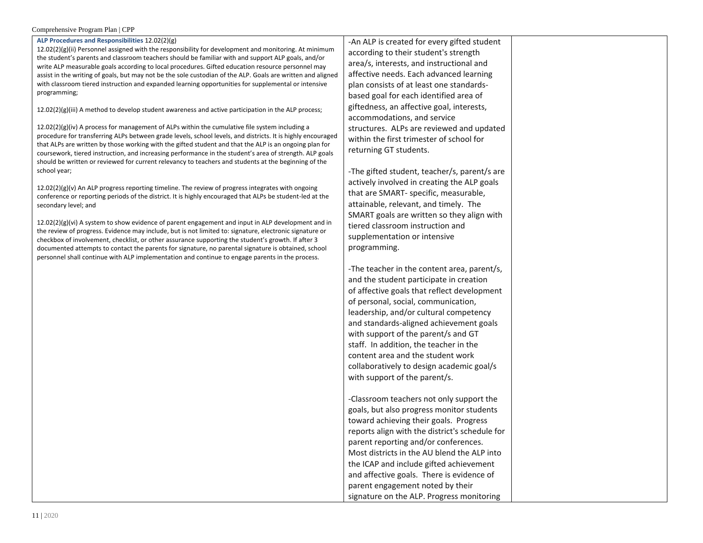#### Comprehensive Program Plan | CPP

#### **ALP Procedures and Responsibilities** 12.02(2)(g)

12.02(2)(g)(ii) Personnel assigned with the responsibility for development and monitoring. At minimum the student's parents and classroom teachers should be familiar with and support ALP goals, and/or write ALP measurable goals according to local procedures. Gifted education resource personnel may assist in the writing of goals, but may not be the sole custodian of the ALP. Goals are written and aligned with classroom tiered instruction and expanded learning opportunities for supplemental or intensive programming;

12.02(2)(g)(iii) A method to develop student awareness and active participation in the ALP process;

 $12.02(2)(g)(iv)$  A process for management of ALPs within the cumulative file system including a procedure for transferring ALPs between grade levels, school levels, and districts. It is highly encouraged that ALPs are written by those working with the gifted student and that the ALP is an ongoing plan for coursework, tiered instruction, and increasing performance in the student's area of strength. ALP goals should be written or reviewed for current relevancy to teachers and students at the beginning of the school year;

 $12.02(2)(g)(v)$  An ALP progress reporting timeline. The review of progress integrates with ongoing conference or reporting periods of the district. It is highly encouraged that ALPs be student-led at the secondary level; and

12.02(2)(g)(vi) A system to show evidence of parent engagement and input in ALP development and in the review of progress. Evidence may include, but is not limited to: signature, electronic signature or checkbox of involvement, checklist, or other assurance supporting the student's growth. If after 3 documented attempts to contact the parents for signature, no parental signature is obtained, school personnel shall continue with ALP implementation and continue to engage parents in the process.

-An ALP is created for every gifted student according to their student's strength area/s, interests, and instructional and affective needs. Each advanced learning plan consists of at least one standardsbased goal for each identified area of giftedness, an affective goal, interests, accommodations, and service structures. ALPs are reviewed and updated within the first trimester of school for returning GT students.

-The gifted student, teacher/s, parent/s are actively involved in creating the ALP goals that are SMART- specific, measurable, attainable, relevant, and timely. The SMART goals are written so they align with tiered classroom instruction and supplementation or intensive programming.

-The teacher in the content area, parent/s, and the student participate in creation of affective goals that reflect development of personal, social, communication, leadership, and/or cultural competency and standards-aligned achievement goals with support of the parent/s and GT staff. In addition, the teacher in the content area and the student work collaboratively to design academic goal/s with support of the parent/s.

-Classroom teachers not only support the goals, but also progress monitor students toward achieving their goals. Progress reports align with the district's schedule for parent reporting and/or conferences. Most districts in the AU blend the ALP into the ICAP and include gifted achievement and affective goals. There is evidence of parent engagement noted by their signature on the ALP. Progress monitoring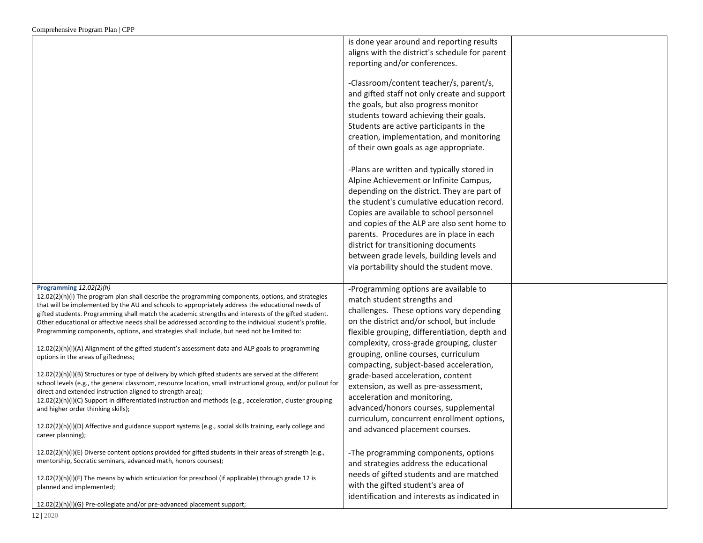|                                                                                                                                                                                                      | is done year around and reporting results      |  |
|------------------------------------------------------------------------------------------------------------------------------------------------------------------------------------------------------|------------------------------------------------|--|
|                                                                                                                                                                                                      | aligns with the district's schedule for parent |  |
|                                                                                                                                                                                                      | reporting and/or conferences.                  |  |
|                                                                                                                                                                                                      |                                                |  |
|                                                                                                                                                                                                      | -Classroom/content teacher/s, parent/s,        |  |
|                                                                                                                                                                                                      | and gifted staff not only create and support   |  |
|                                                                                                                                                                                                      | the goals, but also progress monitor           |  |
|                                                                                                                                                                                                      | students toward achieving their goals.         |  |
|                                                                                                                                                                                                      |                                                |  |
|                                                                                                                                                                                                      | Students are active participants in the        |  |
|                                                                                                                                                                                                      | creation, implementation, and monitoring       |  |
|                                                                                                                                                                                                      | of their own goals as age appropriate.         |  |
|                                                                                                                                                                                                      |                                                |  |
|                                                                                                                                                                                                      | -Plans are written and typically stored in     |  |
|                                                                                                                                                                                                      | Alpine Achievement or Infinite Campus,         |  |
|                                                                                                                                                                                                      | depending on the district. They are part of    |  |
|                                                                                                                                                                                                      | the student's cumulative education record.     |  |
|                                                                                                                                                                                                      | Copies are available to school personnel       |  |
|                                                                                                                                                                                                      | and copies of the ALP are also sent home to    |  |
|                                                                                                                                                                                                      | parents. Procedures are in place in each       |  |
|                                                                                                                                                                                                      | district for transitioning documents           |  |
|                                                                                                                                                                                                      | between grade levels, building levels and      |  |
|                                                                                                                                                                                                      | via portability should the student move.       |  |
|                                                                                                                                                                                                      |                                                |  |
| Programming 12.02(2)(h)                                                                                                                                                                              | -Programming options are available to          |  |
| 12.02(2)(h)(i) The program plan shall describe the programming components, options, and strategies                                                                                                   | match student strengths and                    |  |
| that will be implemented by the AU and schools to appropriately address the educational needs of                                                                                                     | challenges. These options vary depending       |  |
| gifted students. Programming shall match the academic strengths and interests of the gifted student.                                                                                                 | on the district and/or school, but include     |  |
| Other educational or affective needs shall be addressed according to the individual student's profile.<br>Programming components, options, and strategies shall include, but need not be limited to: |                                                |  |
|                                                                                                                                                                                                      | flexible grouping, differentiation, depth and  |  |
| 12.02(2)(h)(i)(A) Alignment of the gifted student's assessment data and ALP goals to programming                                                                                                     | complexity, cross-grade grouping, cluster      |  |
| options in the areas of giftedness;                                                                                                                                                                  | grouping, online courses, curriculum           |  |
|                                                                                                                                                                                                      | compacting, subject-based acceleration,        |  |
| 12.02(2)(h)(i)(B) Structures or type of delivery by which gifted students are served at the different                                                                                                | grade-based acceleration, content              |  |
| school levels (e.g., the general classroom, resource location, small instructional group, and/or pullout for<br>direct and extended instruction aligned to strength area);                           | extension, as well as pre-assessment,          |  |
| 12.02(2)(h)(i)(C) Support in differentiated instruction and methods (e.g., acceleration, cluster grouping                                                                                            | acceleration and monitoring,                   |  |
| and higher order thinking skills);                                                                                                                                                                   | advanced/honors courses, supplemental          |  |
|                                                                                                                                                                                                      | curriculum, concurrent enrollment options,     |  |
| 12.02(2)(h)(i)(D) Affective and guidance support systems (e.g., social skills training, early college and                                                                                            | and advanced placement courses.                |  |
| career planning);                                                                                                                                                                                    |                                                |  |
| $12.02(2)(h)(i)(E)$ Diverse content options provided for gifted students in their areas of strength (e.g.,                                                                                           | -The programming components, options           |  |
| mentorship, Socratic seminars, advanced math, honors courses);                                                                                                                                       |                                                |  |
|                                                                                                                                                                                                      | and strategies address the educational         |  |
| 12.02(2)(h)(i)(F) The means by which articulation for preschool (if applicable) through grade 12 is                                                                                                  | needs of gifted students and are matched       |  |
| planned and implemented;                                                                                                                                                                             | with the gifted student's area of              |  |
|                                                                                                                                                                                                      | identification and interests as indicated in   |  |
| 12.02(2)(h)(i)(G) Pre-collegiate and/or pre-advanced placement support;                                                                                                                              |                                                |  |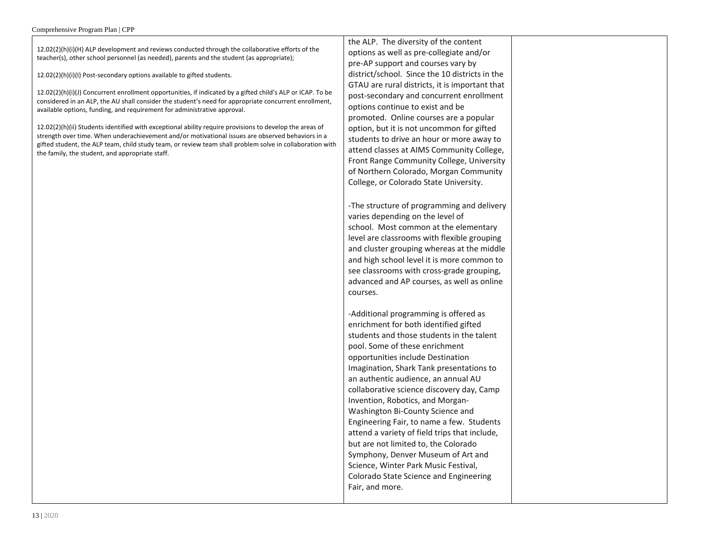12.02(2)(h)(i)(H) ALP development and reviews conducted through the collaborative efforts of the teacher(s), other school personnel (as needed), parents and the student (as appropriate);

12.02(2)(h)(i)(I) Post-secondary options available to gifted students.

12.02(2)(h)(i)(J) Concurrent enrollment opportunities, if indicated by a gifted child's ALP or ICAP. To be considered in an ALP, the AU shall consider the student's need for appropriate concurrent enrollment, available options, funding, and requirement for administrative approval.

12.02(2)(h)(ii) Students identified with exceptional ability require provisions to develop the areas of strength over time. When underachievement and/or motivational issues are observed behaviors in a gifted student, the ALP team, child study team, or review team shall problem solve in collaboration with the family, the student, and appropriate staff.

the ALP. The diversity of the content options as well as pre-collegiate and/or pre-AP support and courses vary by district/school. Since the 10 districts in the GTAU are rural districts, it is important that post-secondary and concurrent enrollment options continue to exist and be promoted. Online courses are a popular option, but it is not uncommon for gifted students to drive an hour or more away to attend classes at AIMS Community College, Front Range Community College, University of Northern Colorado, Morgan Community College, or Colorado State University.

-The structure of programming and delivery varies depending on the level of school. Most common at the elementary level are classrooms with flexible grouping and cluster grouping whereas at the middle and high school level it is more common to see classrooms with cross-grade grouping, advanced and AP courses, as well as online courses.

-Additional programming is offered as enrichment for both identified gifted students and those students in the talent pool. Some of these enrichment opportunities include Destination Imagination, Shark Tank presentations to an authentic audience, an annual AU collaborative science discovery day, Camp Invention, Robotics, and Morgan-Washington Bi-County Science and Engineering Fair, to name a few. Students attend a variety of field trips that include, but are not limited to, the Colorado Symphony, Denver Museum of Art and Science, Winter Park Music Festival, Colorado State Science and Engineering Fair, and more.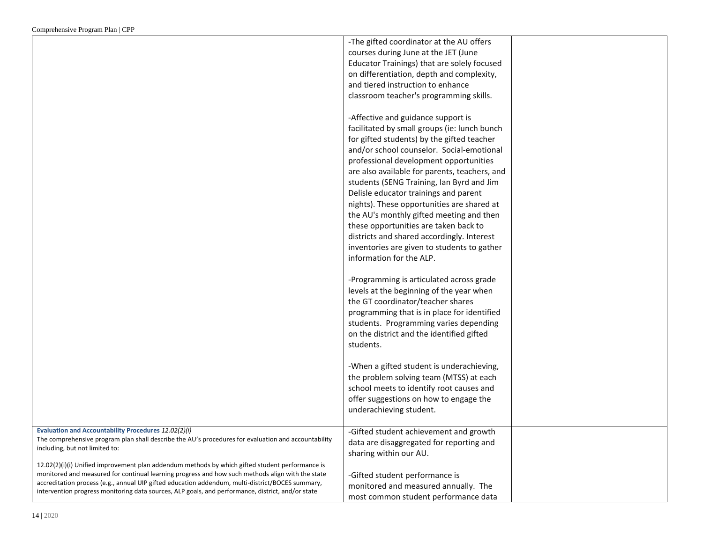|                                                                                                     | -The gifted coordinator at the AU offers      |  |
|-----------------------------------------------------------------------------------------------------|-----------------------------------------------|--|
|                                                                                                     | courses during June at the JET (June          |  |
|                                                                                                     | Educator Trainings) that are solely focused   |  |
|                                                                                                     | on differentiation, depth and complexity,     |  |
|                                                                                                     | and tiered instruction to enhance             |  |
|                                                                                                     | classroom teacher's programming skills.       |  |
|                                                                                                     |                                               |  |
|                                                                                                     | -Affective and guidance support is            |  |
|                                                                                                     | facilitated by small groups (ie: lunch bunch  |  |
|                                                                                                     | for gifted students) by the gifted teacher    |  |
|                                                                                                     | and/or school counselor. Social-emotional     |  |
|                                                                                                     | professional development opportunities        |  |
|                                                                                                     | are also available for parents, teachers, and |  |
|                                                                                                     | students (SENG Training, Ian Byrd and Jim     |  |
|                                                                                                     | Delisle educator trainings and parent         |  |
|                                                                                                     | nights). These opportunities are shared at    |  |
|                                                                                                     | the AU's monthly gifted meeting and then      |  |
|                                                                                                     | these opportunities are taken back to         |  |
|                                                                                                     | districts and shared accordingly. Interest    |  |
|                                                                                                     | inventories are given to students to gather   |  |
|                                                                                                     | information for the ALP.                      |  |
|                                                                                                     |                                               |  |
|                                                                                                     | -Programming is articulated across grade      |  |
|                                                                                                     | levels at the beginning of the year when      |  |
|                                                                                                     | the GT coordinator/teacher shares             |  |
|                                                                                                     | programming that is in place for identified   |  |
|                                                                                                     | students. Programming varies depending        |  |
|                                                                                                     | on the district and the identified gifted     |  |
|                                                                                                     | students.                                     |  |
|                                                                                                     |                                               |  |
|                                                                                                     | -When a gifted student is underachieving,     |  |
|                                                                                                     | the problem solving team (MTSS) at each       |  |
|                                                                                                     | school meets to identify root causes and      |  |
|                                                                                                     | offer suggestions on how to engage the        |  |
|                                                                                                     | underachieving student.                       |  |
|                                                                                                     |                                               |  |
| <b>Evaluation and Accountability Procedures 12.02(2)(i)</b>                                         | -Gifted student achievement and growth        |  |
| The comprehensive program plan shall describe the AU's procedures for evaluation and accountability | data are disaggregated for reporting and      |  |
| including, but not limited to:                                                                      | sharing within our AU.                        |  |
| 12.02(2)(i)(i) Unified improvement plan addendum methods by which gifted student performance is     |                                               |  |
| monitored and measured for continual learning progress and how such methods align with the state    | -Gifted student performance is                |  |
| accreditation process (e.g., annual UIP gifted education addendum, multi-district/BOCES summary,    | monitored and measured annually. The          |  |
| intervention progress monitoring data sources, ALP goals, and performance, district, and/or state   | most common student performance data          |  |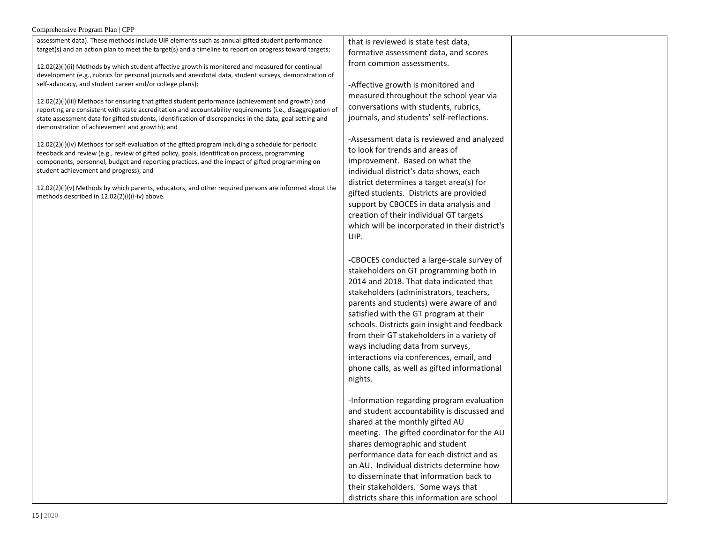### Comprehensive Program Plan | CPP

| assessment data). These methods include UIP elements such as annual gifted student performance                                                                                                                   | that is reviewed is state test data,                                              |  |
|------------------------------------------------------------------------------------------------------------------------------------------------------------------------------------------------------------------|-----------------------------------------------------------------------------------|--|
| target(s) and an action plan to meet the target(s) and a timeline to report on progress toward targets;                                                                                                          | formative assessment data, and scores                                             |  |
| 12.02(2)(i)(ii) Methods by which student affective growth is monitored and measured for continual                                                                                                                | from common assessments.                                                          |  |
| development (e.g., rubrics for personal journals and anecdotal data, student surveys, demonstration of                                                                                                           |                                                                                   |  |
| self-advocacy, and student career and/or college plans);                                                                                                                                                         | -Affective growth is monitored and                                                |  |
|                                                                                                                                                                                                                  | measured throughout the school year via                                           |  |
| 12.02(2)(i)(iii) Methods for ensuring that gifted student performance (achievement and growth) and<br>reporting are consistent with state accreditation and accountability requirements (i.e., disaggregation of | conversations with students, rubrics,                                             |  |
| state assessment data for gifted students, identification of discrepancies in the data, goal setting and                                                                                                         | journals, and students' self-reflections.                                         |  |
| demonstration of achievement and growth); and                                                                                                                                                                    |                                                                                   |  |
|                                                                                                                                                                                                                  | -Assessment data is reviewed and analyzed                                         |  |
| $12.02(2)(i)(iv)$ Methods for self-evaluation of the gifted program including a schedule for periodic                                                                                                            | to look for trends and areas of                                                   |  |
| feedback and review (e.g., review of gifted policy, goals, identification process, programming<br>components, personnel, budget and reporting practices, and the impact of gifted programming on                 | improvement. Based on what the                                                    |  |
| student achievement and progress); and                                                                                                                                                                           | individual district's data shows, each                                            |  |
|                                                                                                                                                                                                                  | district determines a target area(s) for                                          |  |
| $12.02(2)(i)(v)$ Methods by which parents, educators, and other required persons are informed about the                                                                                                          | gifted students. Districts are provided                                           |  |
| methods described in 12.02(2)(i)(i-iv) above.                                                                                                                                                                    | support by CBOCES in data analysis and                                            |  |
|                                                                                                                                                                                                                  | creation of their individual GT targets                                           |  |
|                                                                                                                                                                                                                  | which will be incorporated in their district's                                    |  |
|                                                                                                                                                                                                                  | UIP.                                                                              |  |
|                                                                                                                                                                                                                  |                                                                                   |  |
|                                                                                                                                                                                                                  | -CBOCES conducted a large-scale survey of                                         |  |
|                                                                                                                                                                                                                  |                                                                                   |  |
|                                                                                                                                                                                                                  | stakeholders on GT programming both in<br>2014 and 2018. That data indicated that |  |
|                                                                                                                                                                                                                  |                                                                                   |  |
|                                                                                                                                                                                                                  | stakeholders (administrators, teachers,                                           |  |
|                                                                                                                                                                                                                  | parents and students) were aware of and                                           |  |
|                                                                                                                                                                                                                  | satisfied with the GT program at their                                            |  |
|                                                                                                                                                                                                                  | schools. Districts gain insight and feedback                                      |  |
|                                                                                                                                                                                                                  | from their GT stakeholders in a variety of                                        |  |
|                                                                                                                                                                                                                  | ways including data from surveys,                                                 |  |
|                                                                                                                                                                                                                  | interactions via conferences, email, and                                          |  |
|                                                                                                                                                                                                                  | phone calls, as well as gifted informational                                      |  |
|                                                                                                                                                                                                                  | nights.                                                                           |  |
|                                                                                                                                                                                                                  |                                                                                   |  |
|                                                                                                                                                                                                                  | -Information regarding program evaluation                                         |  |
|                                                                                                                                                                                                                  | and student accountability is discussed and                                       |  |
|                                                                                                                                                                                                                  | shared at the monthly gifted AU                                                   |  |
|                                                                                                                                                                                                                  | meeting. The gifted coordinator for the AU                                        |  |
|                                                                                                                                                                                                                  | shares demographic and student                                                    |  |
|                                                                                                                                                                                                                  | performance data for each district and as                                         |  |
|                                                                                                                                                                                                                  | an AU. Individual districts determine how                                         |  |
|                                                                                                                                                                                                                  | to disseminate that information back to                                           |  |
|                                                                                                                                                                                                                  | their stakeholders. Some ways that                                                |  |
|                                                                                                                                                                                                                  | districts share this information are school                                       |  |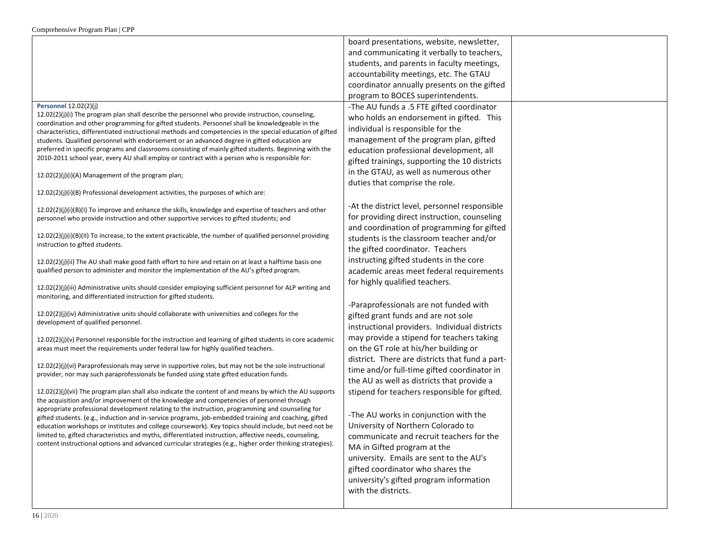|                                                                                                                                                                                                                | board presentations, website, newsletter,       |  |
|----------------------------------------------------------------------------------------------------------------------------------------------------------------------------------------------------------------|-------------------------------------------------|--|
|                                                                                                                                                                                                                | and communicating it verbally to teachers,      |  |
|                                                                                                                                                                                                                | students, and parents in faculty meetings,      |  |
|                                                                                                                                                                                                                | accountability meetings, etc. The GTAU          |  |
|                                                                                                                                                                                                                | coordinator annually presents on the gifted     |  |
|                                                                                                                                                                                                                | program to BOCES superintendents.               |  |
| <b>Personnel 12.02(2)(j)</b>                                                                                                                                                                                   | -The AU funds a .5 FTE gifted coordinator       |  |
| $12.02(2)(j)(i)$ The program plan shall describe the personnel who provide instruction, counseling,                                                                                                            | who holds an endorsement in gifted. This        |  |
| coordination and other programming for gifted students. Personnel shall be knowledgeable in the                                                                                                                | individual is responsible for the               |  |
| characteristics, differentiated instructional methods and competencies in the special education of gifted                                                                                                      | management of the program plan, gifted          |  |
| students. Qualified personnel with endorsement or an advanced degree in gifted education are<br>preferred in specific programs and classrooms consisting of mainly gifted students. Beginning with the         | education professional development, all         |  |
| 2010-2011 school year, every AU shall employ or contract with a person who is responsible for:                                                                                                                 | gifted trainings, supporting the 10 districts   |  |
|                                                                                                                                                                                                                |                                                 |  |
| 12.02(2)(j)(i)(A) Management of the program plan;                                                                                                                                                              | in the GTAU, as well as numerous other          |  |
| 12.02(2)(j)(i)(B) Professional development activities, the purposes of which are:                                                                                                                              | duties that comprise the role.                  |  |
|                                                                                                                                                                                                                |                                                 |  |
| 12.02(2)(j)(i)(B)(I) To improve and enhance the skills, knowledge and expertise of teachers and other                                                                                                          | -At the district level, personnel responsible   |  |
| personnel who provide instruction and other supportive services to gifted students; and                                                                                                                        | for providing direct instruction, counseling    |  |
| $12.02(2)(j)(j)(B)(II)$ To increase, to the extent practicable, the number of qualified personnel providing                                                                                                    | and coordination of programming for gifted      |  |
| instruction to gifted students.                                                                                                                                                                                | students is the classroom teacher and/or        |  |
|                                                                                                                                                                                                                | the gifted coordinator. Teachers                |  |
| 12.02(2)(j)(ii) The AU shall make good faith effort to hire and retain on at least a halftime basis one                                                                                                        | instructing gifted students in the core         |  |
| qualified person to administer and monitor the implementation of the AU's gifted program.                                                                                                                      | academic areas meet federal requirements        |  |
| 12.02(2)(j)(iii) Administrative units should consider employing sufficient personnel for ALP writing and                                                                                                       | for highly qualified teachers.                  |  |
| monitoring, and differentiated instruction for gifted students.                                                                                                                                                |                                                 |  |
|                                                                                                                                                                                                                | -Paraprofessionals are not funded with          |  |
| 12.02(2)(j)(iv) Administrative units should collaborate with universities and colleges for the                                                                                                                 | gifted grant funds and are not sole             |  |
| development of qualified personnel.                                                                                                                                                                            | instructional providers. Individual districts   |  |
| $12.02(2)(j)(v)$ Personnel responsible for the instruction and learning of gifted students in core academic                                                                                                    | may provide a stipend for teachers taking       |  |
| areas must meet the requirements under federal law for highly qualified teachers.                                                                                                                              | on the GT role at his/her building or           |  |
|                                                                                                                                                                                                                | district. There are districts that fund a part- |  |
| 12.02(2)(j)(vi) Paraprofessionals may serve in supportive roles, but may not be the sole instructional                                                                                                         | time and/or full-time gifted coordinator in     |  |
| provider, nor may such paraprofessionals be funded using state gifted education funds.                                                                                                                         | the AU as well as districts that provide a      |  |
| $12.02(2)(j)(vi)$ The program plan shall also indicate the content of and means by which the AU supports                                                                                                       | stipend for teachers responsible for gifted.    |  |
| the acquisition and/or improvement of the knowledge and competencies of personnel through                                                                                                                      |                                                 |  |
| appropriate professional development relating to the instruction, programming and counseling for                                                                                                               | -The AU works in conjunction with the           |  |
| gifted students. (e.g., induction and in-service programs, job-embedded training and coaching, gifted<br>education workshops or institutes and college coursework). Key topics should include, but need not be | University of Northern Colorado to              |  |
| limited to, gifted characteristics and myths, differentiated instruction, affective needs, counseling,                                                                                                         | communicate and recruit teachers for the        |  |
| content instructional options and advanced curricular strategies (e.g., higher order thinking strategies).                                                                                                     | MA in Gifted program at the                     |  |
|                                                                                                                                                                                                                | university. Emails are sent to the AU's         |  |
|                                                                                                                                                                                                                | gifted coordinator who shares the               |  |
|                                                                                                                                                                                                                | university's gifted program information         |  |
|                                                                                                                                                                                                                | with the districts.                             |  |
|                                                                                                                                                                                                                |                                                 |  |
|                                                                                                                                                                                                                |                                                 |  |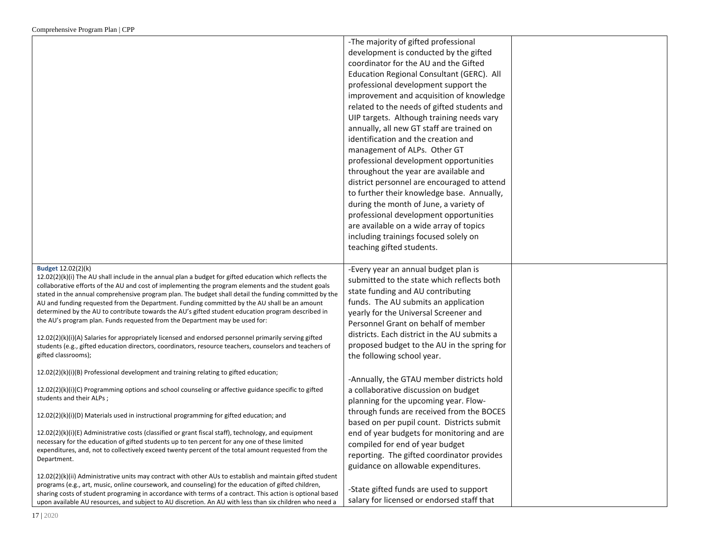|                                                                                                                                                                                                              | -The majority of gifted professional         |  |
|--------------------------------------------------------------------------------------------------------------------------------------------------------------------------------------------------------------|----------------------------------------------|--|
|                                                                                                                                                                                                              | development is conducted by the gifted       |  |
|                                                                                                                                                                                                              | coordinator for the AU and the Gifted        |  |
|                                                                                                                                                                                                              | Education Regional Consultant (GERC). All    |  |
|                                                                                                                                                                                                              | professional development support the         |  |
|                                                                                                                                                                                                              | improvement and acquisition of knowledge     |  |
|                                                                                                                                                                                                              | related to the needs of gifted students and  |  |
|                                                                                                                                                                                                              | UIP targets. Although training needs vary    |  |
|                                                                                                                                                                                                              | annually, all new GT staff are trained on    |  |
|                                                                                                                                                                                                              | identification and the creation and          |  |
|                                                                                                                                                                                                              | management of ALPs. Other GT                 |  |
|                                                                                                                                                                                                              | professional development opportunities       |  |
|                                                                                                                                                                                                              | throughout the year are available and        |  |
|                                                                                                                                                                                                              | district personnel are encouraged to attend  |  |
|                                                                                                                                                                                                              | to further their knowledge base. Annually,   |  |
|                                                                                                                                                                                                              | during the month of June, a variety of       |  |
|                                                                                                                                                                                                              | professional development opportunities       |  |
|                                                                                                                                                                                                              | are available on a wide array of topics      |  |
|                                                                                                                                                                                                              | including trainings focused solely on        |  |
|                                                                                                                                                                                                              | teaching gifted students.                    |  |
|                                                                                                                                                                                                              |                                              |  |
| Budget 12.02(2)(k)                                                                                                                                                                                           | -Every year an annual budget plan is         |  |
| 12.02(2)(k)(i) The AU shall include in the annual plan a budget for gifted education which reflects the                                                                                                      | submitted to the state which reflects both   |  |
| collaborative efforts of the AU and cost of implementing the program elements and the student goals<br>stated in the annual comprehensive program plan. The budget shall detail the funding committed by the | state funding and AU contributing            |  |
| AU and funding requested from the Department. Funding committed by the AU shall be an amount                                                                                                                 | funds. The AU submits an application         |  |
| determined by the AU to contribute towards the AU's gifted student education program described in                                                                                                            | yearly for the Universal Screener and        |  |
| the AU's program plan. Funds requested from the Department may be used for:                                                                                                                                  | Personnel Grant on behalf of member          |  |
| 12.02(2)(k)(i)(A) Salaries for appropriately licensed and endorsed personnel primarily serving gifted                                                                                                        | districts. Each district in the AU submits a |  |
| students (e.g., gifted education directors, coordinators, resource teachers, counselors and teachers of                                                                                                      | proposed budget to the AU in the spring for  |  |
| gifted classrooms);                                                                                                                                                                                          | the following school year.                   |  |
|                                                                                                                                                                                                              |                                              |  |
| $12.02(2)(k)(i)(B)$ Professional development and training relating to gifted education;                                                                                                                      | -Annually, the GTAU member districts hold    |  |
| 12.02(2)(k)(i)(C) Programming options and school counseling or affective guidance specific to gifted                                                                                                         | a collaborative discussion on budget         |  |
| students and their ALPs;                                                                                                                                                                                     | planning for the upcoming year. Flow-        |  |
|                                                                                                                                                                                                              | through funds are received from the BOCES    |  |
| 12.02(2)(k)(i)(D) Materials used in instructional programming for gifted education; and                                                                                                                      | based on per pupil count. Districts submit   |  |
| 12.02(2)(k)(i)(E) Administrative costs (classified or grant fiscal staff), technology, and equipment                                                                                                         | end of year budgets for monitoring and are   |  |
| necessary for the education of gifted students up to ten percent for any one of these limited                                                                                                                | compiled for end of year budget              |  |
| expenditures, and, not to collectively exceed twenty percent of the total amount requested from the                                                                                                          | reporting. The gifted coordinator provides   |  |
| Department.                                                                                                                                                                                                  | guidance on allowable expenditures.          |  |
| 12.02(2)(k)(ii) Administrative units may contract with other AUs to establish and maintain gifted student                                                                                                    |                                              |  |
| programs (e.g., art, music, online coursework, and counseling) for the education of gifted children,                                                                                                         |                                              |  |
| sharing costs of student programing in accordance with terms of a contract. This action is optional based                                                                                                    | -State gifted funds are used to support      |  |
| upon available AU resources, and subject to AU discretion. An AU with less than six children who need a                                                                                                      | salary for licensed or endorsed staff that   |  |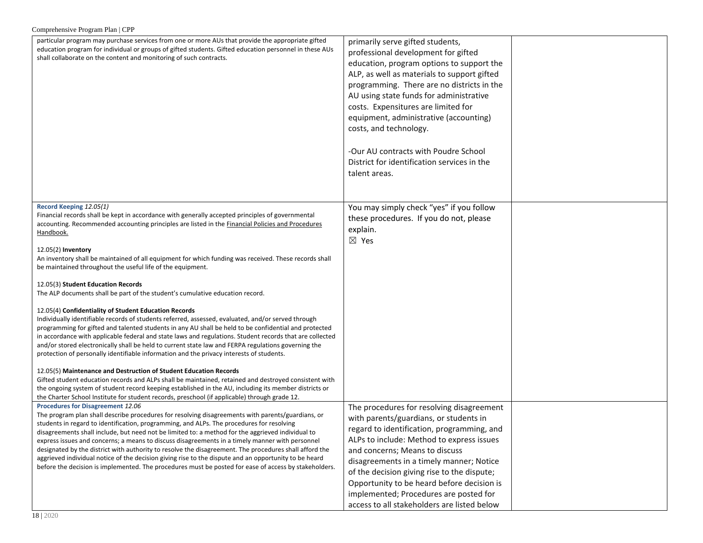| Comprehensive Program Plan   CPP                                                                                                                                                                                                                                                                                                                                                                                                                                                                                                                                                                                                                                                                                                                                                                                                                                                                                                                                                                                                                                                                                                                                                                                                                                                                                                                                                                                                                                                                                                                 |                                                                                                                                                                                                                                                                                                                                                                                                                                                                                 |  |  |
|--------------------------------------------------------------------------------------------------------------------------------------------------------------------------------------------------------------------------------------------------------------------------------------------------------------------------------------------------------------------------------------------------------------------------------------------------------------------------------------------------------------------------------------------------------------------------------------------------------------------------------------------------------------------------------------------------------------------------------------------------------------------------------------------------------------------------------------------------------------------------------------------------------------------------------------------------------------------------------------------------------------------------------------------------------------------------------------------------------------------------------------------------------------------------------------------------------------------------------------------------------------------------------------------------------------------------------------------------------------------------------------------------------------------------------------------------------------------------------------------------------------------------------------------------|---------------------------------------------------------------------------------------------------------------------------------------------------------------------------------------------------------------------------------------------------------------------------------------------------------------------------------------------------------------------------------------------------------------------------------------------------------------------------------|--|--|
| particular program may purchase services from one or more AUs that provide the appropriate gifted<br>education program for individual or groups of gifted students. Gifted education personnel in these AUs<br>shall collaborate on the content and monitoring of such contracts.                                                                                                                                                                                                                                                                                                                                                                                                                                                                                                                                                                                                                                                                                                                                                                                                                                                                                                                                                                                                                                                                                                                                                                                                                                                                | primarily serve gifted students,<br>professional development for gifted<br>education, program options to support the<br>ALP, as well as materials to support gifted<br>programming. There are no districts in the<br>AU using state funds for administrative<br>costs. Expensitures are limited for<br>equipment, administrative (accounting)<br>costs, and technology.<br>-Our AU contracts with Poudre School<br>District for identification services in the<br>talent areas. |  |  |
| Record Keeping 12.05(1)<br>Financial records shall be kept in accordance with generally accepted principles of governmental<br>accounting. Recommended accounting principles are listed in the Financial Policies and Procedures<br>Handbook.<br>12.05(2) Inventory<br>An inventory shall be maintained of all equipment for which funding was received. These records shall<br>be maintained throughout the useful life of the equipment.<br>12.05(3) Student Education Records<br>The ALP documents shall be part of the student's cumulative education record.<br>12.05(4) Confidentiality of Student Education Records<br>Individually identifiable records of students referred, assessed, evaluated, and/or served through<br>programming for gifted and talented students in any AU shall be held to be confidential and protected<br>in accordance with applicable federal and state laws and regulations. Student records that are collected<br>and/or stored electronically shall be held to current state law and FERPA regulations governing the<br>protection of personally identifiable information and the privacy interests of students.<br>12.05(5) Maintenance and Destruction of Student Education Records<br>Gifted student education records and ALPs shall be maintained, retained and destroyed consistent with<br>the ongoing system of student record keeping established in the AU, including its member districts or<br>the Charter School Institute for student records, preschool (if applicable) through grade 12. | You may simply check "yes" if you follow<br>these procedures. If you do not, please<br>explain.<br>$\boxtimes$ Yes                                                                                                                                                                                                                                                                                                                                                              |  |  |
| Procedures for Disagreement 12.06<br>The program plan shall describe procedures for resolving disagreements with parents/guardians, or<br>students in regard to identification, programming, and ALPs. The procedures for resolving<br>disagreements shall include, but need not be limited to: a method for the aggrieved individual to<br>express issues and concerns; a means to discuss disagreements in a timely manner with personnel<br>designated by the district with authority to resolve the disagreement. The procedures shall afford the<br>aggrieved individual notice of the decision giving rise to the dispute and an opportunity to be heard<br>before the decision is implemented. The procedures must be posted for ease of access by stakeholders.                                                                                                                                                                                                                                                                                                                                                                                                                                                                                                                                                                                                                                                                                                                                                                          | The procedures for resolving disagreement<br>with parents/guardians, or students in<br>regard to identification, programming, and<br>ALPs to include: Method to express issues<br>and concerns; Means to discuss<br>disagreements in a timely manner; Notice<br>of the decision giving rise to the dispute;<br>Opportunity to be heard before decision is<br>implemented; Procedures are posted for<br>access to all stakeholders are listed below                              |  |  |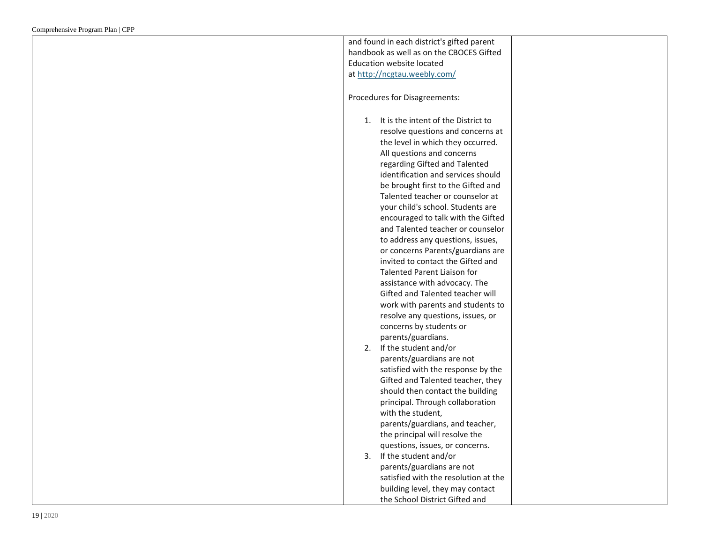| and found in each district's gifted parent |
|--------------------------------------------|
| handbook as well as on the CBOCES Gifted   |
| Education website located                  |
| at http://ncgtau.weebly.com/               |
|                                            |
|                                            |
| Procedures for Disagreements:              |
|                                            |
| It is the intent of the District to<br>1.  |
| resolve questions and concerns at          |
| the level in which they occurred.          |
| All questions and concerns                 |
| regarding Gifted and Talented              |
| identification and services should         |
| be brought first to the Gifted and         |
| Talented teacher or counselor at           |
| your child's school. Students are          |
| encouraged to talk with the Gifted         |
| and Talented teacher or counselor          |
| to address any questions, issues,          |
| or concerns Parents/guardians are          |
| invited to contact the Gifted and          |
| <b>Talented Parent Liaison for</b>         |
| assistance with advocacy. The              |
| Gifted and Talented teacher will           |
|                                            |
| work with parents and students to          |
| resolve any questions, issues, or          |
| concerns by students or                    |
| parents/guardians.                         |
| 2. If the student and/or                   |
| parents/guardians are not                  |
| satisfied with the response by the         |
| Gifted and Talented teacher, they          |
| should then contact the building           |
| principal. Through collaboration           |
| with the student,                          |
| parents/guardians, and teacher,            |
| the principal will resolve the             |
| questions, issues, or concerns.            |
| 3. If the student and/or                   |
| parents/guardians are not                  |
| satisfied with the resolution at the       |
| building level, they may contact           |
| the School District Gifted and             |
|                                            |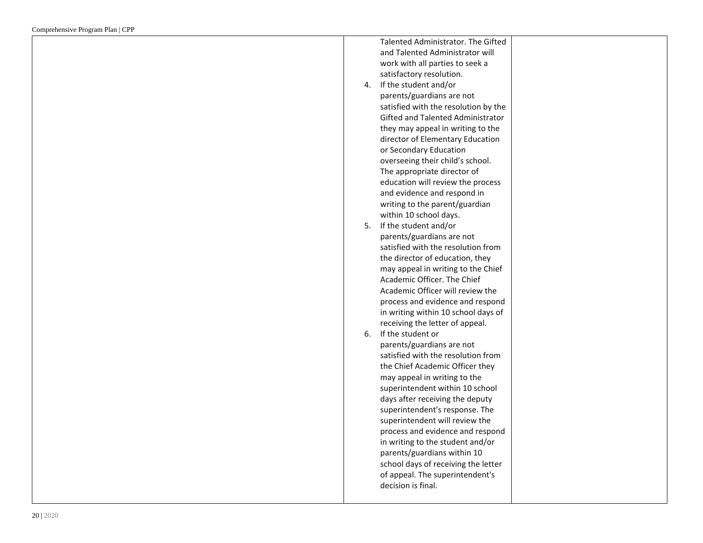|    | Talented Administrator. The Gifted   |  |
|----|--------------------------------------|--|
|    | and Talented Administrator will      |  |
|    | work with all parties to seek a      |  |
|    | satisfactory resolution.             |  |
| 4. | If the student and/or                |  |
|    | parents/guardians are not            |  |
|    | satisfied with the resolution by the |  |
|    | Gifted and Talented Administrator    |  |
|    | they may appeal in writing to the    |  |
|    | director of Elementary Education     |  |
|    | or Secondary Education               |  |
|    | overseeing their child's school.     |  |
|    | The appropriate director of          |  |
|    | education will review the process    |  |
|    | and evidence and respond in          |  |
|    | writing to the parent/guardian       |  |
|    | within 10 school days.               |  |
| 5. | If the student and/or                |  |
|    | parents/guardians are not            |  |
|    | satisfied with the resolution from   |  |
|    | the director of education, they      |  |
|    | may appeal in writing to the Chief   |  |
|    | Academic Officer. The Chief          |  |
|    | Academic Officer will review the     |  |
|    | process and evidence and respond     |  |
|    | in writing within 10 school days of  |  |
|    | receiving the letter of appeal.      |  |
| 6. | If the student or                    |  |
|    | parents/guardians are not            |  |
|    | satisfied with the resolution from   |  |
|    | the Chief Academic Officer they      |  |
|    | may appeal in writing to the         |  |
|    | superintendent within 10 school      |  |
|    | days after receiving the deputy      |  |
|    | superintendent's response. The       |  |
|    | superintendent will review the       |  |
|    | process and evidence and respond     |  |
|    | in writing to the student and/or     |  |
|    | parents/guardians within 10          |  |
|    | school days of receiving the letter  |  |
|    | of appeal. The superintendent's      |  |
|    | decision is final.                   |  |
|    |                                      |  |
|    |                                      |  |